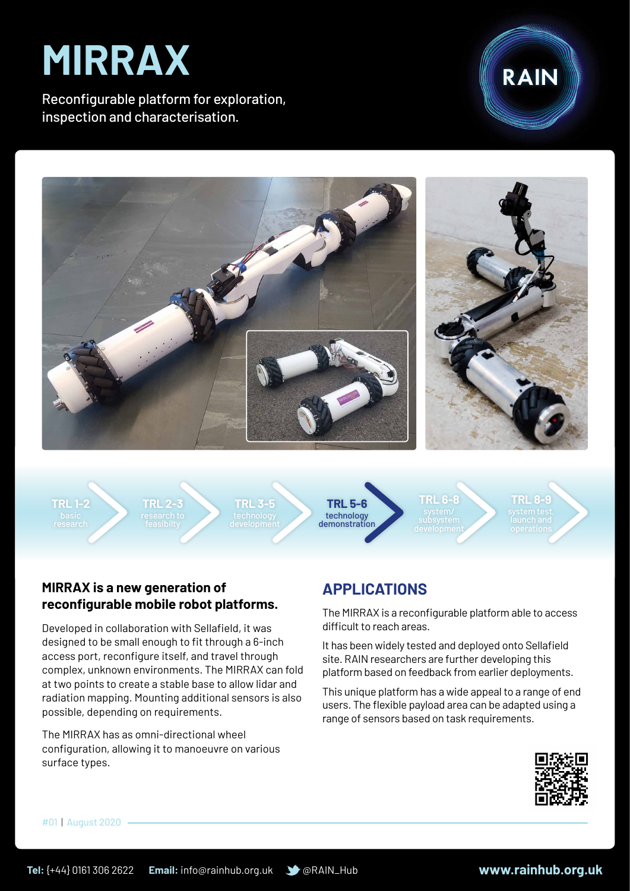# **MIRRAX**

Reconfigurable platform for exploration, inspection and characterisation.





**TRL 1-2**

**TRL 2-3**

**TRL 3-5**



**TRL 6-8**

**TRL 8-9**

### **MIRRAX is a new generation of reconfigurable mobile robot platforms.**

Developed in collaboration with Sellafield, it was designed to be small enough to fit through a 6-inch access port, reconfigure itself, and travel through complex, unknown environments. The MIRRAX can fold at two points to create a stable base to allow lidar and radiation mapping. Mounting additional sensors is also possible, depending on requirements.

The MIRRAX has as omni-directional wheel configuration, allowing it to manoeuvre on various surface types.

## **APPLICATIONS**

The MIRRAX is a reconfigurable platform able to access difficult to reach areas.

It has been widely tested and deployed onto Sellafield site. RAIN researchers are further developing this platform based on feedback from earlier deployments.

This unique platform has a wide appeal to a range of end users. The flexible payload area can be adapted using a range of sensors based on task requirements.



#01 | August 2020